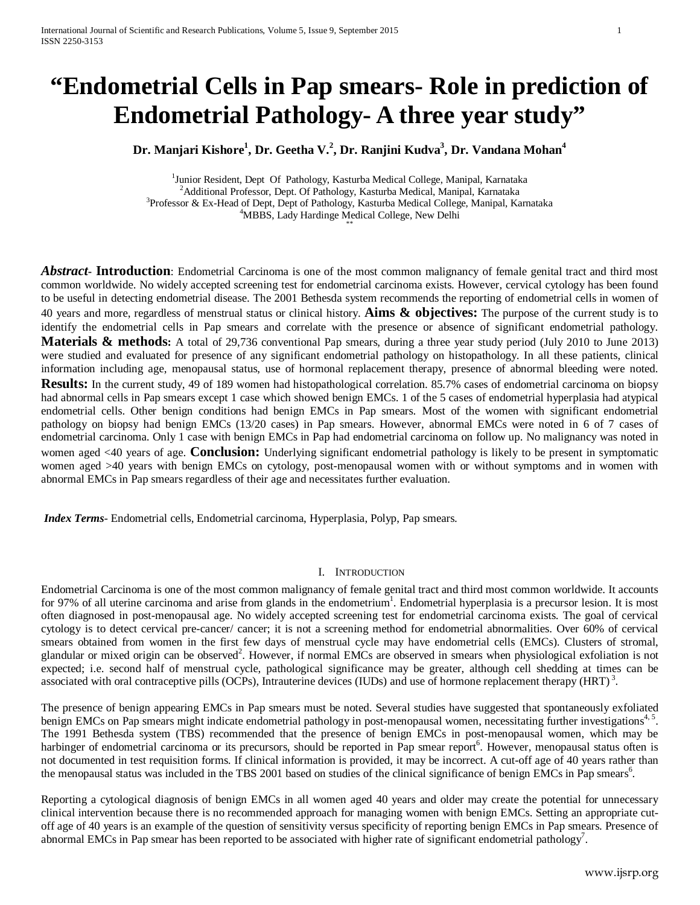# **"Endometrial Cells in Pap smears- Role in prediction of Endometrial Pathology- A three year study"**

**Dr. Manjari Kishore1 , Dr. Geetha V.<sup>2</sup> , Dr. Ranjini Kudva3 , Dr. Vandana Mohan4**

<sup>1</sup>Junior Resident, Dept Of Pathology, Kasturba Medical College, Manipal, Karnataka<sup>2</sup> Additional Professor, Dopt Of Pathology, Kasturba Medical, Manipal, Karnataka Additional Professor, Dept. Of Pathology, Kasturba Medical, Manipal, Karnataka <sup>3</sup> <sup>3</sup> Professor & Ex-Head of Dept, Dept of Pathology, Kasturba Medical College, Manipal, Karnataka <sup>4</sup>MBBS, Lady Hardinge Medical College, New Delhi

*Abstract***- Introduction**: Endometrial Carcinoma is one of the most common malignancy of female genital tract and third most common worldwide. No widely accepted screening test for endometrial carcinoma exists. However, cervical cytology has been found to be useful in detecting endometrial disease. The 2001 Bethesda system recommends the reporting of endometrial cells in women of 40 years and more, regardless of menstrual status or clinical history. **Aims & objectives:** The purpose of the current study is to identify the endometrial cells in Pap smears and correlate with the presence or absence of significant endometrial pathology. **Materials & methods:** A total of 29,736 conventional Pap smears, during a three year study period (July 2010 to June 2013) were studied and evaluated for presence of any significant endometrial pathology on histopathology. In all these patients, clinical information including age, menopausal status, use of hormonal replacement therapy, presence of abnormal bleeding were noted. **Results:** In the current study, 49 of 189 women had histopathological correlation. 85.7% cases of endometrial carcinoma on biopsy had abnormal cells in Pap smears except 1 case which showed benign EMCs. 1 of the 5 cases of endometrial hyperplasia had atypical endometrial cells. Other benign conditions had benign EMCs in Pap smears. Most of the women with significant endometrial pathology on biopsy had benign EMCs (13/20 cases) in Pap smears. However, abnormal EMCs were noted in 6 of 7 cases of endometrial carcinoma. Only 1 case with benign EMCs in Pap had endometrial carcinoma on follow up. No malignancy was noted in women aged <40 years of age. **Conclusion:** Underlying significant endometrial pathology is likely to be present in symptomatic women aged >40 years with benign EMCs on cytology, post-menopausal women with or without symptoms and in women with abnormal EMCs in Pap smears regardless of their age and necessitates further evaluation.

*Index Terms*- Endometrial cells, Endometrial carcinoma, Hyperplasia, Polyp, Pap smears.

#### I. INTRODUCTION

Endometrial Carcinoma is one of the most common malignancy of female genital tract and third most common worldwide. It accounts for 97% of all uterine carcinoma and arise from glands in the endometrium<sup>1</sup>. Endometrial hyperplasia is a precursor lesion. It is most often diagnosed in post-menopausal age. No widely accepted screening test for endometrial carcinoma exists. The goal of cervical cytology is to detect cervical pre-cancer/ cancer; it is not a screening method for endometrial abnormalities. Over 60% of cervical smears obtained from women in the first few days of menstrual cycle may have endometrial cells (EMCs). Clusters of stromal, glandular or mixed origin can be observed<sup>2</sup>. However, if normal EMCs are observed in smears when physiological exfoliation is not expected; i.e. second half of menstrual cycle, pathological significance may be greater, although cell shedding at times can be associated with oral contraceptive pills (OCPs), Intrauterine devices (IUDs) and use of hormone replacement therapy (HRT)<sup>3</sup>.

The presence of benign appearing EMCs in Pap smears must be noted. Several studies have suggested that spontaneously exfoliated benign EMCs on Pap smears might indicate endometrial pathology in post-menopausal women, necessitating further investigations<sup>4, 5</sup>. The 1991 Bethesda system (TBS) recommended that the presence of benign EMCs in post-menopausal women, which may be harbinger of endometrial carcinoma or its precursors, should be reported in Pap smear report<sup>6</sup>. However, menopausal status often is not documented in test requisition forms. If clinical information is provided, it may be incorrect. A cut-off age of 40 years rather than the menopausal status was included in the TBS 2001 based on studies of the clinical significance of benign EMCs in Pap smears<sup>6</sup>.

Reporting a cytological diagnosis of benign EMCs in all women aged 40 years and older may create the potential for unnecessary clinical intervention because there is no recommended approach for managing women with benign EMCs. Setting an appropriate cutoff age of 40 years is an example of the question of sensitivity versus specificity of reporting benign EMCs in Pap smears. Presence of abnormal EMCs in Pap smear has been reported to be associated with higher rate of significant endometrial pathology<sup>7</sup>.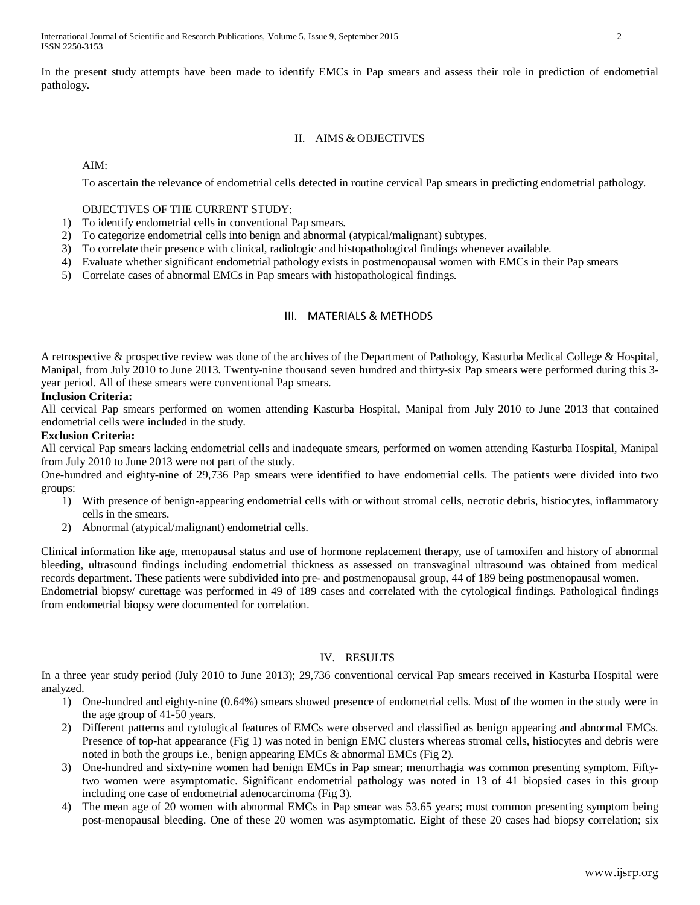In the present study attempts have been made to identify EMCs in Pap smears and assess their role in prediction of endometrial pathology.

# II. AIMS & OBJECTIVES

AIM:

To ascertain the relevance of endometrial cells detected in routine cervical Pap smears in predicting endometrial pathology.

## OBJECTIVES OF THE CURRENT STUDY:

- 1) To identify endometrial cells in conventional Pap smears.
- 2) To categorize endometrial cells into benign and abnormal (atypical/malignant) subtypes.
- 3) To correlate their presence with clinical, radiologic and histopathological findings whenever available.
- 4) Evaluate whether significant endometrial pathology exists in postmenopausal women with EMCs in their Pap smears
- 5) Correlate cases of abnormal EMCs in Pap smears with histopathological findings.

### III. MATERIALS & METHODS

A retrospective & prospective review was done of the archives of the Department of Pathology, Kasturba Medical College & Hospital, Manipal, from July 2010 to June 2013. Twenty-nine thousand seven hundred and thirty-six Pap smears were performed during this 3 year period. All of these smears were conventional Pap smears.

### **Inclusion Criteria:**

All cervical Pap smears performed on women attending Kasturba Hospital, Manipal from July 2010 to June 2013 that contained endometrial cells were included in the study.

#### **Exclusion Criteria:**

All cervical Pap smears lacking endometrial cells and inadequate smears, performed on women attending Kasturba Hospital, Manipal from July 2010 to June 2013 were not part of the study.

One-hundred and eighty-nine of 29,736 Pap smears were identified to have endometrial cells. The patients were divided into two groups:

- 1) With presence of benign-appearing endometrial cells with or without stromal cells, necrotic debris, histiocytes, inflammatory cells in the smears.
- 2) Abnormal (atypical/malignant) endometrial cells.

Clinical information like age, menopausal status and use of hormone replacement therapy, use of tamoxifen and history of abnormal bleeding, ultrasound findings including endometrial thickness as assessed on transvaginal ultrasound was obtained from medical records department. These patients were subdivided into pre- and postmenopausal group, 44 of 189 being postmenopausal women. Endometrial biopsy/ curettage was performed in 49 of 189 cases and correlated with the cytological findings. Pathological findings from endometrial biopsy were documented for correlation.

#### IV. RESULTS

In a three year study period (July 2010 to June 2013); 29,736 conventional cervical Pap smears received in Kasturba Hospital were analyzed.

- 1) One-hundred and eighty-nine (0.64%) smears showed presence of endometrial cells. Most of the women in the study were in the age group of 41-50 years.
- 2) Different patterns and cytological features of EMCs were observed and classified as benign appearing and abnormal EMCs. Presence of top-hat appearance (Fig 1) was noted in benign EMC clusters whereas stromal cells, histiocytes and debris were noted in both the groups i.e., benign appearing EMCs & abnormal EMCs (Fig 2).
- 3) One-hundred and sixty-nine women had benign EMCs in Pap smear; menorrhagia was common presenting symptom. Fiftytwo women were asymptomatic. Significant endometrial pathology was noted in 13 of 41 biopsied cases in this group including one case of endometrial adenocarcinoma (Fig 3).
- 4) The mean age of 20 women with abnormal EMCs in Pap smear was 53.65 years; most common presenting symptom being post-menopausal bleeding. One of these 20 women was asymptomatic. Eight of these 20 cases had biopsy correlation; six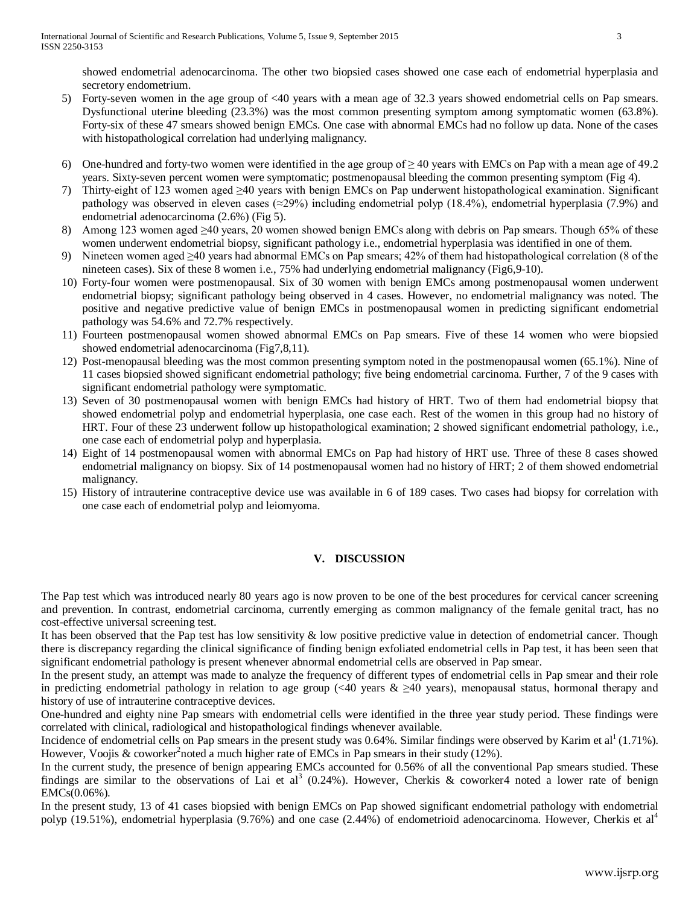showed endometrial adenocarcinoma. The other two biopsied cases showed one case each of endometrial hyperplasia and secretory endometrium.

- 5) Forty-seven women in the age group of <40 years with a mean age of 32.3 years showed endometrial cells on Pap smears. Dysfunctional uterine bleeding (23.3%) was the most common presenting symptom among symptomatic women (63.8%). Forty-six of these 47 smears showed benign EMCs. One case with abnormal EMCs had no follow up data. None of the cases with histopathological correlation had underlying malignancy.
- 6) One-hundred and forty-two women were identified in the age group of  $\geq$  40 years with EMCs on Pap with a mean age of 49.2 years. Sixty-seven percent women were symptomatic; postmenopausal bleeding the common presenting symptom (Fig 4).
- 7) Thirty-eight of 123 women aged ≥40 years with benign EMCs on Pap underwent histopathological examination. Significant pathology was observed in eleven cases ( $\approx$ 29%) including endometrial polyp (18.4%), endometrial hyperplasia (7.9%) and endometrial adenocarcinoma (2.6%) (Fig 5).
- 8) Among 123 women aged ≥40 years, 20 women showed benign EMCs along with debris on Pap smears. Though 65% of these women underwent endometrial biopsy, significant pathology i.e., endometrial hyperplasia was identified in one of them.
- 9) Nineteen women aged ≥40 years had abnormal EMCs on Pap smears; 42% of them had histopathological correlation (8 of the nineteen cases). Six of these 8 women i.e., 75% had underlying endometrial malignancy (Fig6,9-10).
- 10) Forty-four women were postmenopausal. Six of 30 women with benign EMCs among postmenopausal women underwent endometrial biopsy; significant pathology being observed in 4 cases. However, no endometrial malignancy was noted. The positive and negative predictive value of benign EMCs in postmenopausal women in predicting significant endometrial pathology was 54.6% and 72.7% respectively.
- 11) Fourteen postmenopausal women showed abnormal EMCs on Pap smears. Five of these 14 women who were biopsied showed endometrial adenocarcinoma (Fig7,8,11).
- 12) Post-menopausal bleeding was the most common presenting symptom noted in the postmenopausal women (65.1%). Nine of 11 cases biopsied showed significant endometrial pathology; five being endometrial carcinoma. Further, 7 of the 9 cases with significant endometrial pathology were symptomatic.
- 13) Seven of 30 postmenopausal women with benign EMCs had history of HRT. Two of them had endometrial biopsy that showed endometrial polyp and endometrial hyperplasia, one case each. Rest of the women in this group had no history of HRT. Four of these 23 underwent follow up histopathological examination; 2 showed significant endometrial pathology, i.e., one case each of endometrial polyp and hyperplasia.
- 14) Eight of 14 postmenopausal women with abnormal EMCs on Pap had history of HRT use. Three of these 8 cases showed endometrial malignancy on biopsy. Six of 14 postmenopausal women had no history of HRT; 2 of them showed endometrial malignancy.
- 15) History of intrauterine contraceptive device use was available in 6 of 189 cases. Two cases had biopsy for correlation with one case each of endometrial polyp and leiomyoma.

## **V. DISCUSSION**

The Pap test which was introduced nearly 80 years ago is now proven to be one of the best procedures for cervical cancer screening and prevention. In contrast, endometrial carcinoma, currently emerging as common malignancy of the female genital tract, has no cost-effective universal screening test.

It has been observed that the Pap test has low sensitivity & low positive predictive value in detection of endometrial cancer. Though there is discrepancy regarding the clinical significance of finding benign exfoliated endometrial cells in Pap test, it has been seen that significant endometrial pathology is present whenever abnormal endometrial cells are observed in Pap smear.

In the present study, an attempt was made to analyze the frequency of different types of endometrial cells in Pap smear and their role in predicting endometrial pathology in relation to age group (<40 years  $\▵ 40$  years), menopausal status, hormonal therapy and history of use of intrauterine contraceptive devices.

One-hundred and eighty nine Pap smears with endometrial cells were identified in the three year study period. These findings were correlated with clinical, radiological and histopathological findings whenever available.

Incidence of endometrial cells on Pap smears in the present study was  $0.64\%$ . Similar findings were observed by Karim et al<sup>1</sup> (1.71%). However, Voojis & coworker<sup>2</sup>noted a much higher rate of EMCs in Pap smears in their study (12%).

In the current study, the presence of benign appearing EMCs accounted for 0.56% of all the conventional Pap smears studied. These findings are similar to the observations of Lai et al<sup>3</sup> (0.24%). However, Cherkis & coworker4 noted a lower rate of benign EMCs(0.06%).

In the present study, 13 of 41 cases biopsied with benign EMCs on Pap showed significant endometrial pathology with endometrial polyp (19.51%), endometrial hyperplasia (9.76%) and one case (2.44%) of endometrioid adenocarcinoma. However, Cherkis et al<sup>4</sup>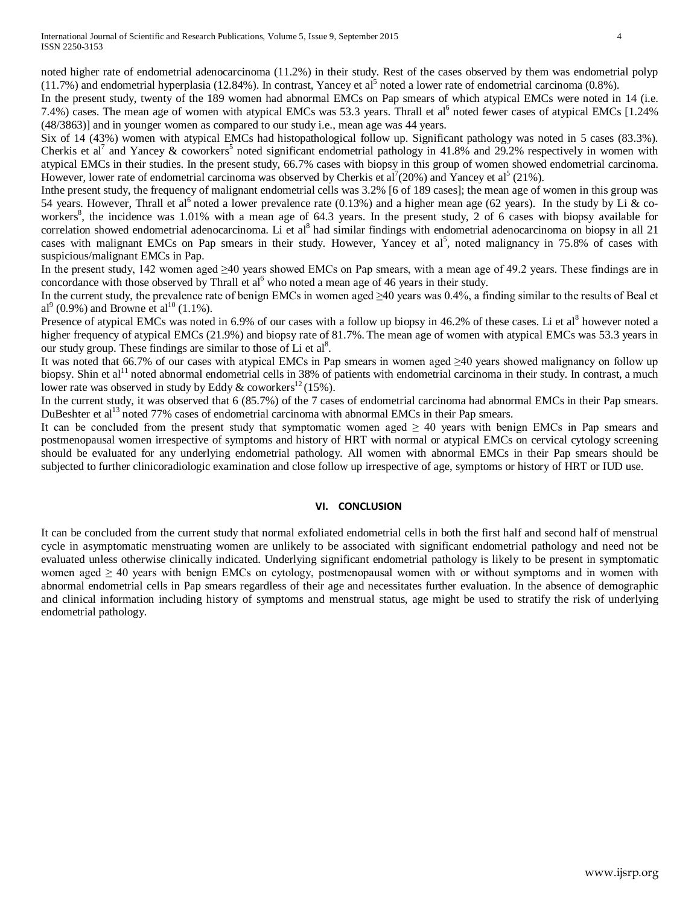noted higher rate of endometrial adenocarcinoma (11.2%) in their study. Rest of the cases observed by them was endometrial polyp  $(11.7%)$  and endometrial hyperplasia  $(12.84%)$ . In contrast, Yancey et al<sup>5</sup> noted a lower rate of endometrial carcinoma  $(0.8%).$ 

In the present study, twenty of the 189 women had abnormal EMCs on Pap smears of which atypical EMCs were noted in 14 (i.e. 7.4%) cases. The mean age of women with atypical EMCs was 53.3 years. Thrall et al <sup>6</sup> noted fewer cases of atypical EMCs [1.24% (48/3863)] and in younger women as compared to our study i.e., mean age was 44 years.

Six of 14 (43%) women with atypical EMCs had histopathological follow up. Significant pathology was noted in 5 cases (83.3%). Cherkis et al<sup>7</sup> and Yancey & coworkers<sup>5</sup> noted significant endometrial pathology in 41.8% and 29.2% respectively in women with atypical EMCs in their studies. In the present study, 66.7% cases with biopsy in this group of women showed endometrial carcinoma. However, lower rate of endometrial carcinoma was observed by Cherkis et al<sup>7</sup>(20%) and Yancey et al<sup>5</sup> (21%).

Inthe present study, the frequency of malignant endometrial cells was 3.2% [6 of 189 cases]; the mean age of women in this group was 54 years. However, Thrall et al<sup>6</sup> noted a lower prevalence rate (0.13%) and a higher mean age (62 years). In the study by Li & coworkers<sup>8</sup>, the incidence was 1.01% with a mean age of 64.3 years. In the present study, 2 of 6 cases with biopsy available for correlation showed endometrial adenocarcinoma. Li et al<sup>8</sup> had similar findings with endometrial adenocarcinoma on biopsy in all 21 cases with malignant EMCs on Pap smears in their study. However, Yancey et al<sup>5</sup>, noted malignancy in 75.8% of cases with suspicious/malignant EMCs in Pap.

In the present study, 142 women aged ≥40 years showed EMCs on Pap smears, with a mean age of 49.2 years. These findings are in concordance with those observed by Thrall et al<sup>6</sup> who noted a mean age of 46 years in their study.

In the current study, the prevalence rate of benign EMCs in women aged ≥40 years was 0.4%, a finding similar to the results of Beal et  $al^9$  (0.9%) and Browne et al<sup>10</sup> (1.1%).

Presence of atypical EMCs was noted in 6.9% of our cases with a follow up biopsy in 46.2% of these cases. Li et al<sup>8</sup> however noted a higher frequency of atypical EMCs (21.9%) and biopsy rate of 81.7%. The mean age of women with atypical EMCs was 53.3 years in our study group. These findings are similar to those of Li et al<sup>8</sup>.

It was noted that 66.7% of our cases with atypical EMCs in Pap smears in women aged ≥40 years showed malignancy on follow up biopsy. Shin et al<sup>11</sup> noted abnormal endometrial cells in 38% of patients with endometrial carcinoma in their study. In contrast, a much lower rate was observed in study by Eddy & coworkers<sup>12</sup> (15%).

In the current study, it was observed that 6 (85.7%) of the 7 cases of endometrial carcinoma had abnormal EMCs in their Pap smears. DuBeshter et al<sup>13</sup> noted 77% cases of endometrial carcinoma with abnormal EMCs in their Pap smears.

It can be concluded from the present study that symptomatic women aged  $\geq 40$  years with benign EMCs in Pap smears and postmenopausal women irrespective of symptoms and history of HRT with normal or atypical EMCs on cervical cytology screening should be evaluated for any underlying endometrial pathology. All women with abnormal EMCs in their Pap smears should be subjected to further clinicoradiologic examination and close follow up irrespective of age, symptoms or history of HRT or IUD use.

#### **VI. CONCLUSION**

It can be concluded from the current study that normal exfoliated endometrial cells in both the first half and second half of menstrual cycle in asymptomatic menstruating women are unlikely to be associated with significant endometrial pathology and need not be evaluated unless otherwise clinically indicated. Underlying significant endometrial pathology is likely to be present in symptomatic women aged  $\geq$  40 years with benign EMCs on cytology, postmenopausal women with or without symptoms and in women with abnormal endometrial cells in Pap smears regardless of their age and necessitates further evaluation. In the absence of demographic and clinical information including history of symptoms and menstrual status, age might be used to stratify the risk of underlying endometrial pathology.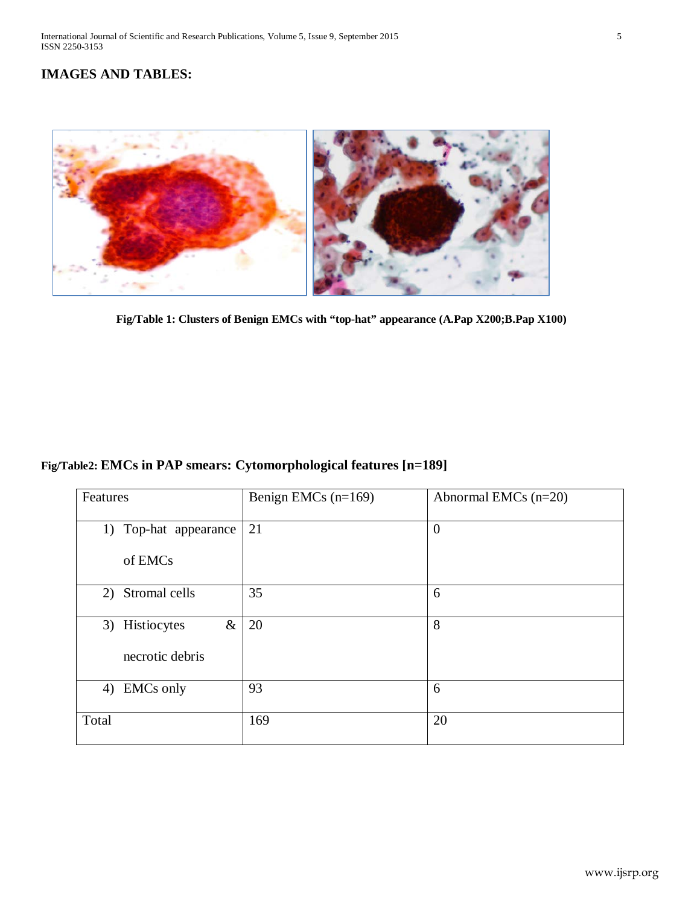# **IMAGES AND TABLES:**



 **Fig/Table 1: Clusters of Benign EMCs with "top-hat" appearance (A.Pap X200;B.Pap X100)**

# **Fig/Table2: EMCs in PAP smears: Cytomorphological features [n=189]**

| Features                 | Benign EMCs $(n=169)$ | Abnormal EMCs $(n=20)$ |
|--------------------------|-----------------------|------------------------|
| Top-hat appearance<br>1) | 21                    | $\overline{0}$         |
| of EMCs                  |                       |                        |
| Stromal cells<br>2)      | 35                    | 6                      |
| 3) Histiocytes<br>$\&$   | 20                    | 8                      |
| necrotic debris          |                       |                        |
| <b>EMCs</b> only<br>4)   | 93                    | 6                      |
| Total                    | 169                   | 20                     |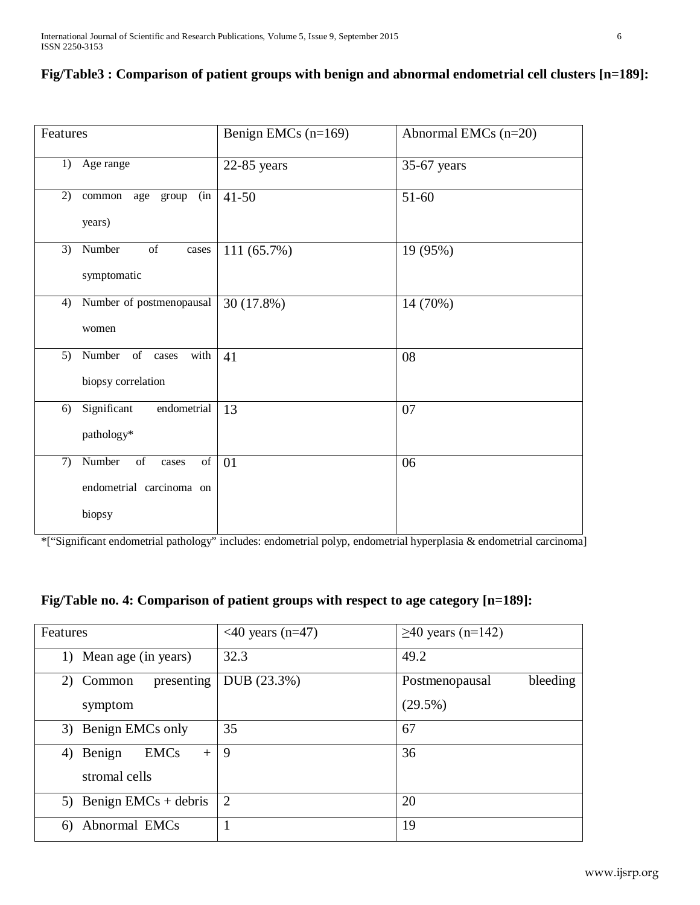| Features                                                                                                                                                                                                                                                                | Benign EMCs $(n=169)$ | Abnormal EMCs (n=20) |
|-------------------------------------------------------------------------------------------------------------------------------------------------------------------------------------------------------------------------------------------------------------------------|-----------------------|----------------------|
| Age range<br>1)                                                                                                                                                                                                                                                         | $22-85$ years         | 35-67 years          |
| 2)<br>common age group<br>(in<br>years)                                                                                                                                                                                                                                 | $41 - 50$             | 51-60                |
| 3)<br>Number<br>$% \left( \left( \mathcal{A},\mathcal{A}\right) \right) =\left( \mathcal{A},\mathcal{A}\right)$ of<br>$\operatorname*{cases}% \left( \mathcal{A}\right) \equiv\operatorname*{const}$<br>symptomatic                                                     | 111 (65.7%)           | 19 (95%)             |
| Number of postmenopausal<br>4)<br>women                                                                                                                                                                                                                                 | 30 (17.8%)            | 14 (70%)             |
| 5)<br>Number of cases<br>with<br>biopsy correlation                                                                                                                                                                                                                     | 41                    | 08                   |
| endometrial<br>Significant<br>6)<br>pathology*                                                                                                                                                                                                                          | 13                    | 07                   |
| Number<br>$% \left( \left( \mathcal{A},\mathcal{A}\right) \right) =\left( \mathcal{A},\mathcal{A}\right)$ of<br>$% \left( \left( \mathcal{A},\mathcal{A}\right) \right) =\left( \mathcal{A},\mathcal{A}\right)$ of<br>7)<br>cases<br>endometrial carcinoma on<br>biopsy | 01                    | 06                   |

|  |  |  | Fig/Table3 : Comparison of patient groups with benign and abnormal endometrial cell clusters [n=189]: |
|--|--|--|-------------------------------------------------------------------------------------------------------|
|--|--|--|-------------------------------------------------------------------------------------------------------|

\*["Significant endometrial pathology" includes: endometrial polyp, endometrial hyperplasia & endometrial carcinoma]

|  |  |  | Fig/Table no. 4: Comparison of patient groups with respect to age category [n=189]: |
|--|--|--|-------------------------------------------------------------------------------------|
|  |  |  |                                                                                     |

| Features                           | $<$ 40 years (n=47) | $\geq$ 40 years (n=142)    |
|------------------------------------|---------------------|----------------------------|
| Mean age (in years)<br>1)          | 32.3                | 49.2                       |
| presenting<br>2) Common            | DUB (23.3%)         | bleeding<br>Postmenopausal |
| symptom                            |                     | $(29.5\%)$                 |
| 3) Benign EMCs only                | 35                  | 67                         |
| <b>EMCs</b><br>Benign<br>4)<br>$+$ | 9                   | 36                         |
| stromal cells                      |                     |                            |
| 5) Benign EMCs + debris            | $\overline{2}$      | 20                         |
| Abnormal EMCs<br>6)                |                     | 19                         |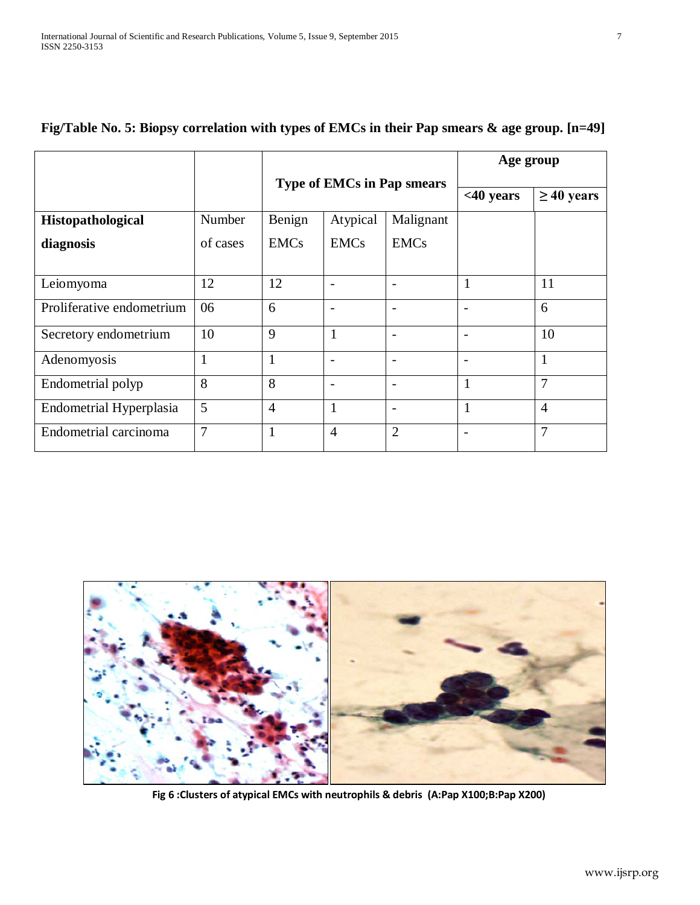|                           |                | <b>Type of EMCs in Pap smears</b> |                          |                          | Age group                |                 |
|---------------------------|----------------|-----------------------------------|--------------------------|--------------------------|--------------------------|-----------------|
|                           |                |                                   |                          |                          |                          |                 |
|                           |                |                                   |                          |                          | <40 years                | $\geq$ 40 years |
| Histopathological         | Number         | Benign                            | Atypical                 | Malignant                |                          |                 |
| diagnosis                 | of cases       | <b>EMCs</b>                       | <b>EMCs</b>              | <b>EMCs</b>              |                          |                 |
|                           |                |                                   |                          |                          |                          |                 |
| Leiomyoma                 | 12             | 12                                |                          |                          | $\mathbf{1}$             | 11              |
| Proliferative endometrium | 06             | 6                                 | $\overline{\phantom{a}}$ | $\qquad \qquad$          | $\qquad \qquad -$        | 6               |
| Secretory endometrium     | 10             | 9                                 | 1                        | $\overline{\phantom{a}}$ | $\overline{\phantom{a}}$ | 10              |
| Adenomyosis               | 1              | 1                                 | $\overline{\phantom{a}}$ | $\overline{\phantom{a}}$ | $\overline{\phantom{0}}$ | $\mathbf{1}$    |
| Endometrial polyp         | 8              | 8                                 | $\overline{\phantom{a}}$ | $\qquad \qquad$          | $\mathbf{1}$             | $\overline{7}$  |
| Endometrial Hyperplasia   | 5              | $\overline{4}$                    |                          | $\qquad \qquad$          | $\mathbf{1}$             | $\overline{4}$  |
| Endometrial carcinoma     | $\overline{7}$ | 1                                 | $\overline{4}$           | $\overline{2}$           | $\overline{a}$           | $\overline{7}$  |

# **Fig/Table No. 5: Biopsy correlation with types of EMCs in their Pap smears & age group. [n=49]**



 **Fig 6 :Clusters of atypical EMCs with neutrophils & debris (A:Pap X100;B:Pap X200)**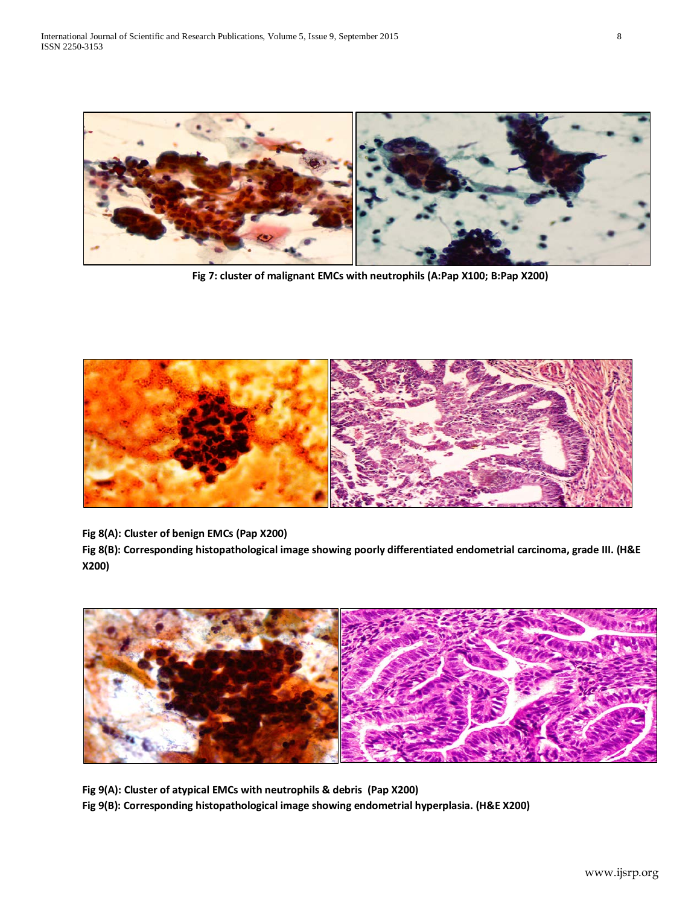

**Fig 7: cluster of malignant EMCs with neutrophils (A:Pap X100; B:Pap X200)**



**Fig 8(A): Cluster of benign EMCs (Pap X200)**

**Fig 8(B): Corresponding histopathological image showing poorly differentiated endometrial carcinoma, grade III. (H&E X200)**



**Fig 9(A): Cluster of atypical EMCs with neutrophils & debris (Pap X200) Fig 9(B): Corresponding histopathological image showing endometrial hyperplasia. (H&E X200)**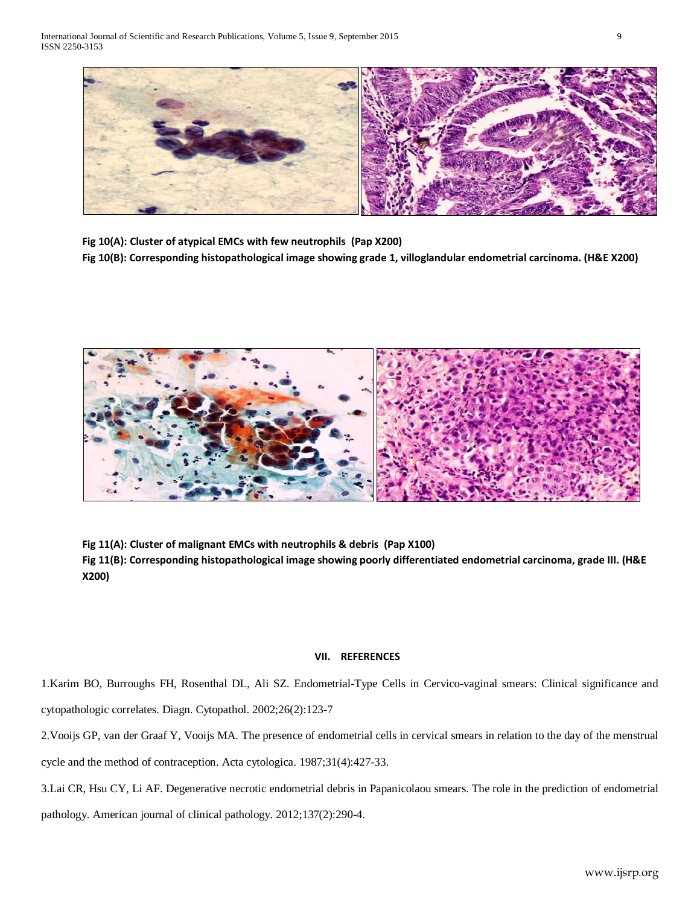

**Fig 10(A): Cluster of atypical EMCs with few neutrophils (Pap X200)**

**Fig 10(B): Corresponding histopathological image showing grade 1, villoglandular endometrial carcinoma. (H&E X200)**



**Fig 11(A): Cluster of malignant EMCs with neutrophils & debris (Pap X100) Fig 11(B): Corresponding histopathological image showing poorly differentiated endometrial carcinoma, grade III. (H&E X200)** 

#### **VII. REFERENCES**

1.Karim BO, Burroughs FH, Rosenthal DL, Ali SZ. Endometrial-Type Cells in Cervico-vaginal smears: Clinical significance and cytopathologic correlates. Diagn. Cytopathol. 2002;26(2):123-7

2.Vooijs GP, van der Graaf Y, Vooijs MA. The presence of endometrial cells in cervical smears in relation to the day of the menstrual cycle and the method of contraception. Acta cytologica. 1987;31(4):427-33.

3.Lai CR, Hsu CY, Li AF. Degenerative necrotic endometrial debris in Papanicolaou smears. The role in the prediction of endometrial pathology. American journal of clinical pathology. 2012;137(2):290-4.